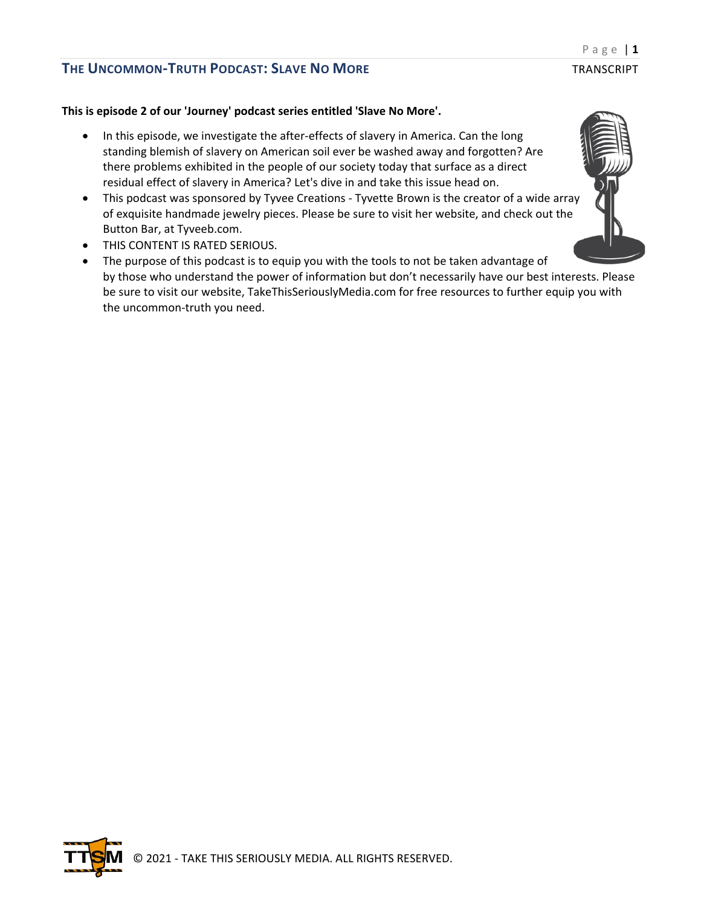### **This is episode 2 of our 'Journey' podcast series entitled 'Slave No More'.**

- In this episode, we investigate the after-effects of slavery in America. Can the long standing blemish of slavery on American soil ever be washed away and forgotten? Are there problems exhibited in the people of our society today that surface as a direct residual effect of slavery in America? Let's dive in and take this issue head on.
- This podcast was sponsored by Tyvee Creations Tyvette Brown is the creator of a wide array of exquisite handmade jewelry pieces. Please be sure to visit her website, and check out the Button Bar, at Tyveeb.com.
- THIS CONTENT IS RATED SERIOUS.
- The purpose of this podcast is to equip you with the tools to not be taken advantage of by those who understand the power of information but don't necessarily have our best interests. Please be sure to visit our website, TakeThisSeriouslyMedia.com for free resources to further equip you with the uncommon-truth you need.



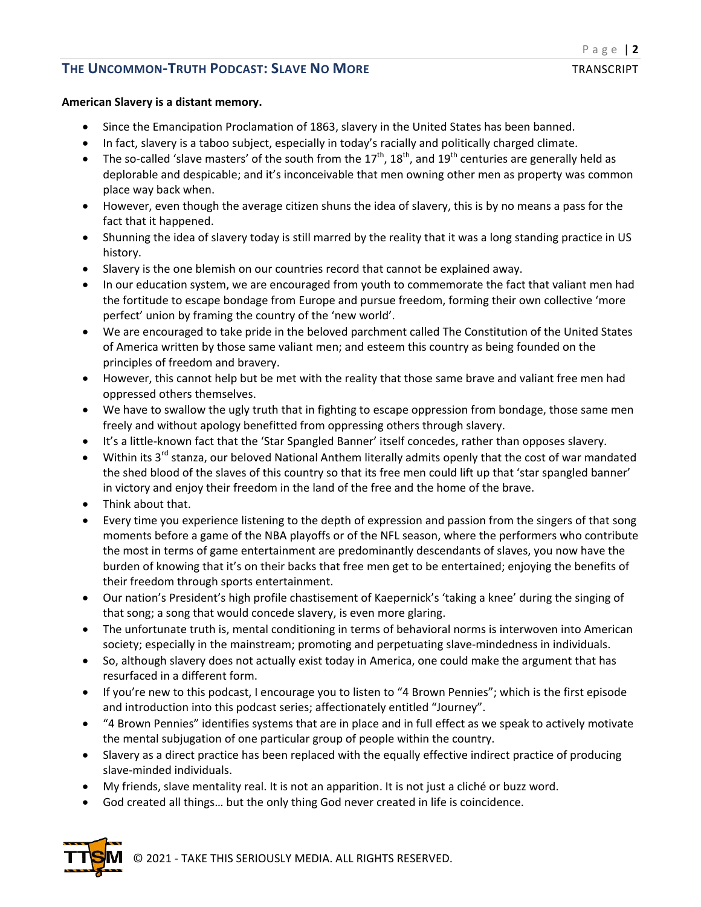### **American Slavery is a distant memory.**

- Since the Emancipation Proclamation of 1863, slavery in the United States has been banned.
- In fact, slavery is a taboo subject, especially in today's racially and politically charged climate.
- The so-called 'slave masters' of the south from the  $17<sup>th</sup>$ ,  $18<sup>th</sup>$ , and  $19<sup>th</sup>$  centuries are generally held as deplorable and despicable; and it's inconceivable that men owning other men as property was common place way back when.
- However, even though the average citizen shuns the idea of slavery, this is by no means a pass for the fact that it happened.
- Shunning the idea of slavery today is still marred by the reality that it was a long standing practice in US history.
- Slavery is the one blemish on our countries record that cannot be explained away.
- In our education system, we are encouraged from youth to commemorate the fact that valiant men had the fortitude to escape bondage from Europe and pursue freedom, forming their own collective 'more perfect' union by framing the country of the 'new world'.
- We are encouraged to take pride in the beloved parchment called The Constitution of the United States of America written by those same valiant men; and esteem this country as being founded on the principles of freedom and bravery.
- However, this cannot help but be met with the reality that those same brave and valiant free men had oppressed others themselves.
- We have to swallow the ugly truth that in fighting to escape oppression from bondage, those same men freely and without apology benefitted from oppressing others through slavery.
- It's a little-known fact that the 'Star Spangled Banner' itself concedes, rather than opposes slavery.
- Within its 3<sup>rd</sup> stanza, our beloved National Anthem literally admits openly that the cost of war mandated the shed blood of the slaves of this country so that its free men could lift up that 'star spangled banner' in victory and enjoy their freedom in the land of the free and the home of the brave.
- Think about that.
- Every time you experience listening to the depth of expression and passion from the singers of that song moments before a game of the NBA playoffs or of the NFL season, where the performers who contribute the most in terms of game entertainment are predominantly descendants of slaves, you now have the burden of knowing that it's on their backs that free men get to be entertained; enjoying the benefits of their freedom through sports entertainment.
- Our nation's President's high profile chastisement of Kaepernick's 'taking a knee' during the singing of that song; a song that would concede slavery, is even more glaring.
- The unfortunate truth is, mental conditioning in terms of behavioral norms is interwoven into American society; especially in the mainstream; promoting and perpetuating slave-mindedness in individuals.
- So, although slavery does not actually exist today in America, one could make the argument that has resurfaced in a different form.
- If you're new to this podcast, I encourage you to listen to "4 Brown Pennies"; which is the first episode and introduction into this podcast series; affectionately entitled "Journey".
- "4 Brown Pennies" identifies systems that are in place and in full effect as we speak to actively motivate the mental subjugation of one particular group of people within the country.
- Slavery as a direct practice has been replaced with the equally effective indirect practice of producing slave-minded individuals.
- My friends, slave mentality real. It is not an apparition. It is not just a cliché or buzz word.
- God created all things… but the only thing God never created in life is coincidence.



© 2021 - TAKE THIS SERIOUSLY MEDIA. ALL RIGHTS RESERVED.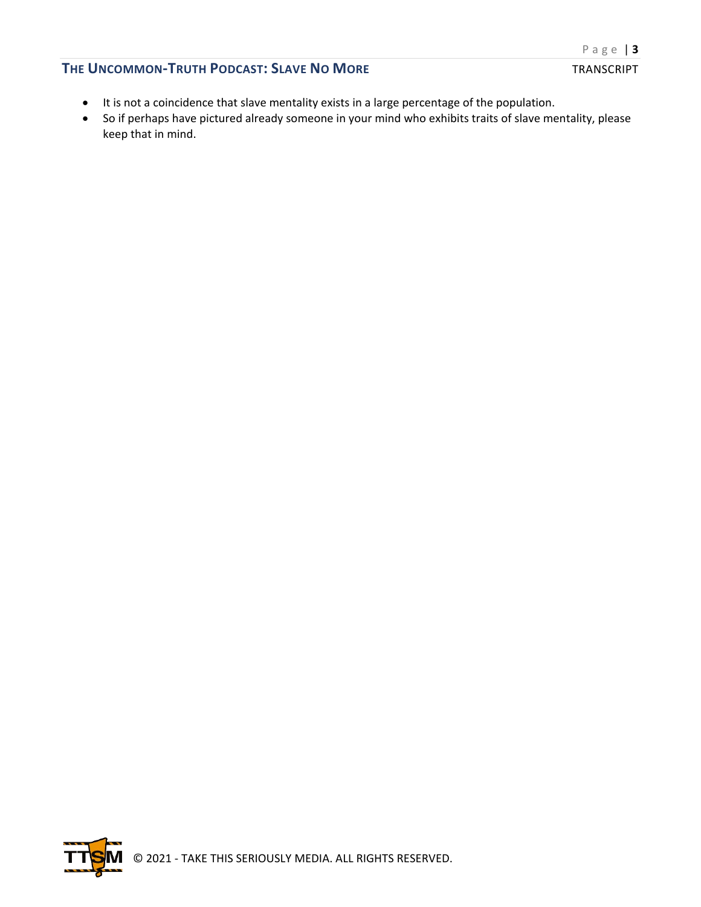#### Page | **3**

## **THE UNCOMMON-TRUTH PODCAST: SLAVE NO MORE** TRANSCRIPT

- It is not a coincidence that slave mentality exists in a large percentage of the population.
- So if perhaps have pictured already someone in your mind who exhibits traits of slave mentality, please keep that in mind.

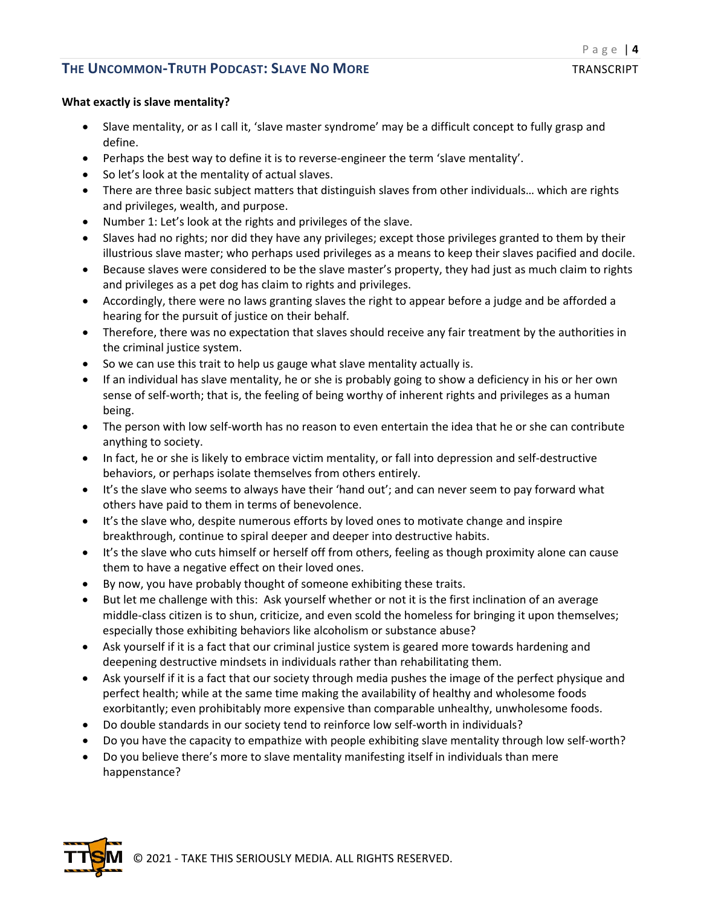### **What exactly is slave mentality?**

- Slave mentality, or as I call it, 'slave master syndrome' may be a difficult concept to fully grasp and define.
- Perhaps the best way to define it is to reverse-engineer the term 'slave mentality'.
- So let's look at the mentality of actual slaves.
- There are three basic subject matters that distinguish slaves from other individuals... which are rights and privileges, wealth, and purpose.
- Number 1: Let's look at the rights and privileges of the slave.
- Slaves had no rights; nor did they have any privileges; except those privileges granted to them by their illustrious slave master; who perhaps used privileges as a means to keep their slaves pacified and docile.
- Because slaves were considered to be the slave master's property, they had just as much claim to rights and privileges as a pet dog has claim to rights and privileges.
- Accordingly, there were no laws granting slaves the right to appear before a judge and be afforded a hearing for the pursuit of justice on their behalf.
- Therefore, there was no expectation that slaves should receive any fair treatment by the authorities in the criminal justice system.
- So we can use this trait to help us gauge what slave mentality actually is.
- If an individual has slave mentality, he or she is probably going to show a deficiency in his or her own sense of self-worth; that is, the feeling of being worthy of inherent rights and privileges as a human being.
- The person with low self-worth has no reason to even entertain the idea that he or she can contribute anything to society.
- In fact, he or she is likely to embrace victim mentality, or fall into depression and self-destructive behaviors, or perhaps isolate themselves from others entirely.
- It's the slave who seems to always have their 'hand out'; and can never seem to pay forward what others have paid to them in terms of benevolence.
- It's the slave who, despite numerous efforts by loved ones to motivate change and inspire breakthrough, continue to spiral deeper and deeper into destructive habits.
- It's the slave who cuts himself or herself off from others, feeling as though proximity alone can cause them to have a negative effect on their loved ones.
- By now, you have probably thought of someone exhibiting these traits.
- But let me challenge with this: Ask yourself whether or not it is the first inclination of an average middle-class citizen is to shun, criticize, and even scold the homeless for bringing it upon themselves; especially those exhibiting behaviors like alcoholism or substance abuse?
- Ask yourself if it is a fact that our criminal justice system is geared more towards hardening and deepening destructive mindsets in individuals rather than rehabilitating them.
- Ask yourself if it is a fact that our society through media pushes the image of the perfect physique and perfect health; while at the same time making the availability of healthy and wholesome foods exorbitantly; even prohibitably more expensive than comparable unhealthy, unwholesome foods.
- Do double standards in our society tend to reinforce low self-worth in individuals?
- Do you have the capacity to empathize with people exhibiting slave mentality through low self-worth?
- Do you believe there's more to slave mentality manifesting itself in individuals than mere happenstance?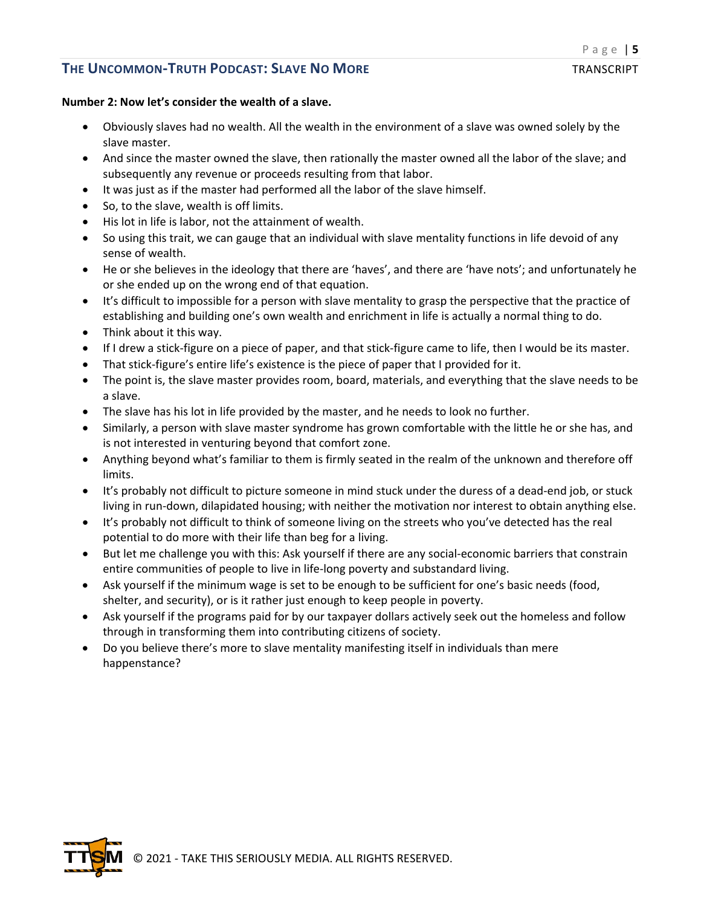### **Number 2: Now let's consider the wealth of a slave.**

- Obviously slaves had no wealth. All the wealth in the environment of a slave was owned solely by the slave master.
- And since the master owned the slave, then rationally the master owned all the labor of the slave; and subsequently any revenue or proceeds resulting from that labor.
- It was just as if the master had performed all the labor of the slave himself.
- So, to the slave, wealth is off limits.
- His lot in life is labor, not the attainment of wealth.
- So using this trait, we can gauge that an individual with slave mentality functions in life devoid of any sense of wealth.
- He or she believes in the ideology that there are 'haves', and there are 'have nots'; and unfortunately he or she ended up on the wrong end of that equation.
- It's difficult to impossible for a person with slave mentality to grasp the perspective that the practice of establishing and building one's own wealth and enrichment in life is actually a normal thing to do.
- Think about it this way.
- If I drew a stick-figure on a piece of paper, and that stick-figure came to life, then I would be its master.
- That stick-figure's entire life's existence is the piece of paper that I provided for it.
- The point is, the slave master provides room, board, materials, and everything that the slave needs to be a slave.
- The slave has his lot in life provided by the master, and he needs to look no further.
- Similarly, a person with slave master syndrome has grown comfortable with the little he or she has, and is not interested in venturing beyond that comfort zone.
- Anything beyond what's familiar to them is firmly seated in the realm of the unknown and therefore off limits.
- It's probably not difficult to picture someone in mind stuck under the duress of a dead-end job, or stuck living in run-down, dilapidated housing; with neither the motivation nor interest to obtain anything else.
- It's probably not difficult to think of someone living on the streets who you've detected has the real potential to do more with their life than beg for a living.
- But let me challenge you with this: Ask yourself if there are any social-economic barriers that constrain entire communities of people to live in life-long poverty and substandard living.
- Ask yourself if the minimum wage is set to be enough to be sufficient for one's basic needs (food, shelter, and security), or is it rather just enough to keep people in poverty.
- Ask yourself if the programs paid for by our taxpayer dollars actively seek out the homeless and follow through in transforming them into contributing citizens of society.
- Do you believe there's more to slave mentality manifesting itself in individuals than mere happenstance?

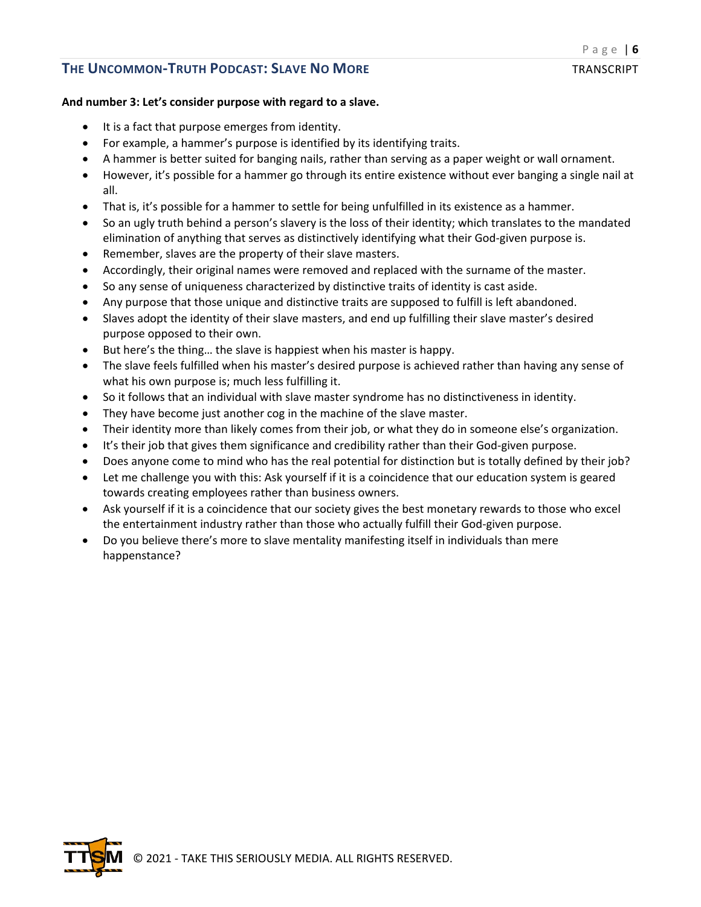### **And number 3: Let's consider purpose with regard to a slave.**

- It is a fact that purpose emerges from identity.
- For example, a hammer's purpose is identified by its identifying traits.
- A hammer is better suited for banging nails, rather than serving as a paper weight or wall ornament.
- However, it's possible for a hammer go through its entire existence without ever banging a single nail at all.
- That is, it's possible for a hammer to settle for being unfulfilled in its existence as a hammer.
- So an ugly truth behind a person's slavery is the loss of their identity; which translates to the mandated elimination of anything that serves as distinctively identifying what their God-given purpose is.
- Remember, slaves are the property of their slave masters.
- Accordingly, their original names were removed and replaced with the surname of the master.
- So any sense of uniqueness characterized by distinctive traits of identity is cast aside.
- Any purpose that those unique and distinctive traits are supposed to fulfill is left abandoned.
- Slaves adopt the identity of their slave masters, and end up fulfilling their slave master's desired purpose opposed to their own.
- But here's the thing… the slave is happiest when his master is happy.
- The slave feels fulfilled when his master's desired purpose is achieved rather than having any sense of what his own purpose is; much less fulfilling it.
- So it follows that an individual with slave master syndrome has no distinctiveness in identity.
- They have become just another cog in the machine of the slave master.
- Their identity more than likely comes from their job, or what they do in someone else's organization.
- It's their job that gives them significance and credibility rather than their God-given purpose.
- Does anyone come to mind who has the real potential for distinction but is totally defined by their job?
- Let me challenge you with this: Ask yourself if it is a coincidence that our education system is geared towards creating employees rather than business owners.
- Ask yourself if it is a coincidence that our society gives the best monetary rewards to those who excel the entertainment industry rather than those who actually fulfill their God-given purpose.
- Do you believe there's more to slave mentality manifesting itself in individuals than mere happenstance?

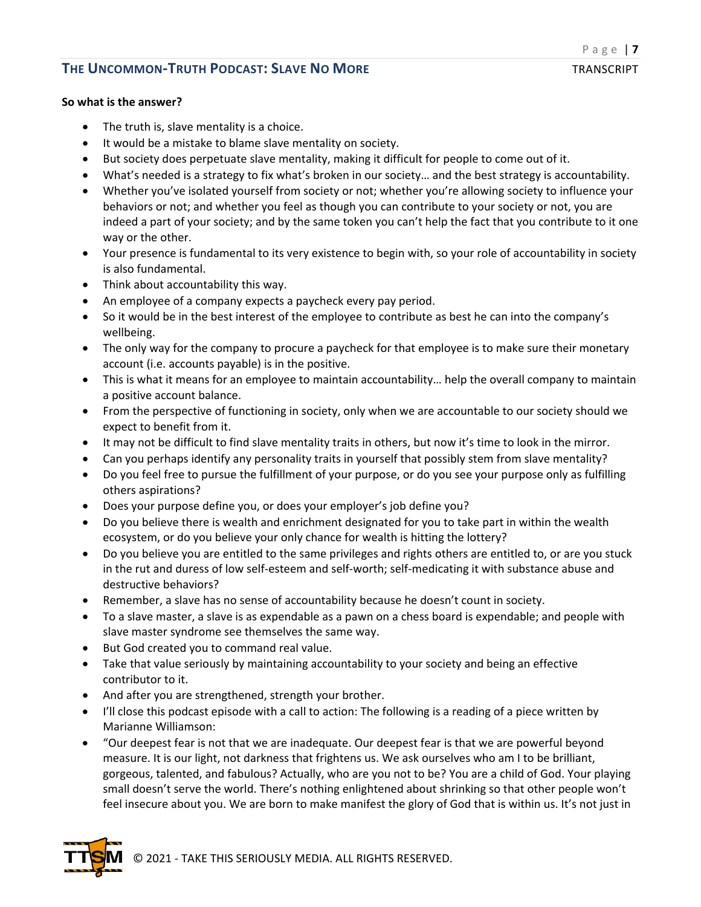#### **So what is the answer?**

- The truth is, slave mentality is a choice.
- It would be a mistake to blame slave mentality on society.
- But society does perpetuate slave mentality, making it difficult for people to come out of it.
- What's needed is a strategy to fix what's broken in our society… and the best strategy is accountability.
- Whether you've isolated yourself from society or not; whether you're allowing society to influence your behaviors or not; and whether you feel as though you can contribute to your society or not, you are indeed a part of your society; and by the same token you can't help the fact that you contribute to it one way or the other.
- Your presence is fundamental to its very existence to begin with, so your role of accountability in society is also fundamental.
- Think about accountability this way.
- An employee of a company expects a paycheck every pay period.
- So it would be in the best interest of the employee to contribute as best he can into the company's wellbeing.
- The only way for the company to procure a paycheck for that employee is to make sure their monetary account (i.e. accounts payable) is in the positive.
- This is what it means for an employee to maintain accountability… help the overall company to maintain a positive account balance.
- From the perspective of functioning in society, only when we are accountable to our society should we expect to benefit from it.
- It may not be difficult to find slave mentality traits in others, but now it's time to look in the mirror.
- Can you perhaps identify any personality traits in yourself that possibly stem from slave mentality?
- Do you feel free to pursue the fulfillment of your purpose, or do you see your purpose only as fulfilling others aspirations?
- Does your purpose define you, or does your employer's job define you?
- Do you believe there is wealth and enrichment designated for you to take part in within the wealth ecosystem, or do you believe your only chance for wealth is hitting the lottery?
- Do you believe you are entitled to the same privileges and rights others are entitled to, or are you stuck in the rut and duress of low self-esteem and self-worth; self-medicating it with substance abuse and destructive behaviors?
- Remember, a slave has no sense of accountability because he doesn't count in society.
- To a slave master, a slave is as expendable as a pawn on a chess board is expendable; and people with slave master syndrome see themselves the same way.
- But God created you to command real value.
- Take that value seriously by maintaining accountability to your society and being an effective contributor to it.
- And after you are strengthened, strength your brother.
- I'll close this podcast episode with a call to action: The following is a reading of a piece written by Marianne Williamson:
- "Our deepest fear is not that we are inadequate. Our deepest fear is that we are powerful beyond measure. It is our light, not darkness that frightens us. We ask ourselves who am I to be brilliant, gorgeous, talented, and fabulous? Actually, who are you not to be? You are a child of God. Your playing small doesn't serve the world. There's nothing enlightened about shrinking so that other people won't feel insecure about you. We are born to make manifest the glory of God that is within us. It's not just in